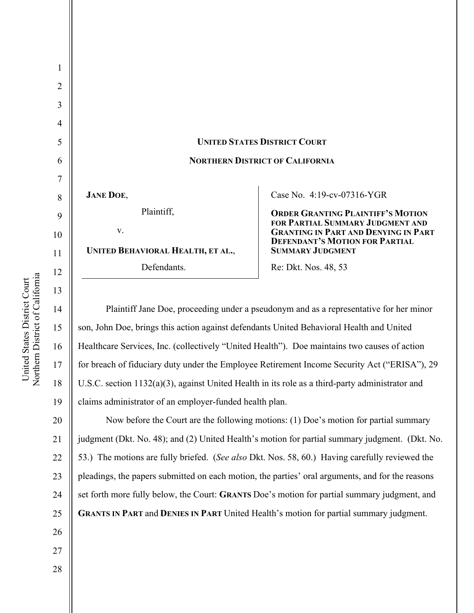| <b>UNITED STATES DISTRICT COURT</b><br><b>NORTHERN DISTRICT OF CALIFORNIA</b> |                                                                                      |
|-------------------------------------------------------------------------------|--------------------------------------------------------------------------------------|
|                                                                               |                                                                                      |
| <b>JANE DOE,</b>                                                              | Case No. 4:19-cv-07316-YGR                                                           |
| Plaintiff,                                                                    | <b>ORDER GRANTING PLAINTIFF'S MOTION</b><br>FOR PARTIAL SUMMARY JUDGMENT AND         |
| V.                                                                            | <b>GRANTING IN PART AND DENYING IN PART</b><br><b>DEFENDANT'S MOTION FOR PARTIAL</b> |
| <b>UNITED BEHAVIORAL HEALTH, ET AL.,</b>                                      | <b>SUMMARY JUDGMENT</b>                                                              |
| Defendants.                                                                   | Re: Dkt. Nos. 48, 53                                                                 |

Plaintiff Jane Doe, proceeding under a pseudonym and as a representative for her minor son, John Doe, brings this action against defendants United Behavioral Health and United Healthcare Services, Inc. (collectively "United Health"). Doe maintains two causes of action for breach of fiduciary duty under the Employee Retirement Income Security Act ("ERISA"), 29 U.S.C. section 1132(a)(3), against United Health in its role as a third-party administrator and claims administrator of an employer-funded health plan.

20 21 22 23 24 25 Now before the Court are the following motions: (1) Doe's motion for partial summary judgment (Dkt. No. 48); and (2) United Health's motion for partial summary judgment. (Dkt. No. 53.) The motions are fully briefed. (*See also* Dkt. Nos. 58, 60.) Having carefully reviewed the pleadings, the papers submitted on each motion, the parties' oral arguments, and for the reasons set forth more fully below, the Court: **GRANTS** Doe's motion for partial summary judgment, and **GRANTS IN PART** and **DENIES IN PART** United Health's motion for partial summary judgment.

a United States District Court United States District Court Northern District of Californi

1

2

3

4

5

6

7

8

9

10

11

12

13

14

15

16

17

18

19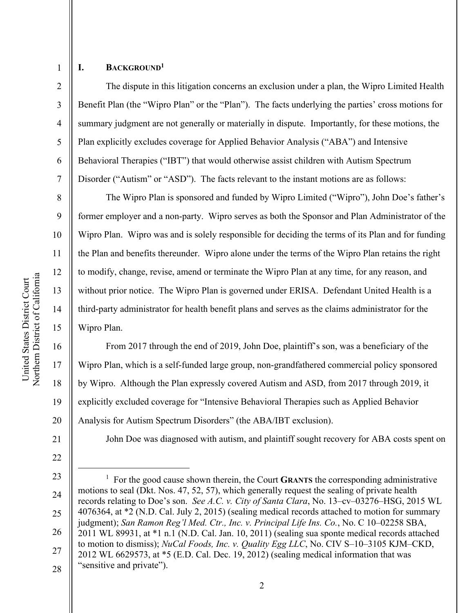3

4

5

6

7

8

9

10

11

12

13

14

15

16

17

18

19

20

# **I. BACKGROUND1**

The dispute in this litigation concerns an exclusion under a plan, the Wipro Limited Health Benefit Plan (the "Wipro Plan" or the "Plan"). The facts underlying the parties' cross motions for summary judgment are not generally or materially in dispute. Importantly, for these motions, the Plan explicitly excludes coverage for Applied Behavior Analysis ("ABA") and Intensive Behavioral Therapies ("IBT") that would otherwise assist children with Autism Spectrum Disorder ("Autism" or "ASD"). The facts relevant to the instant motions are as follows:

The Wipro Plan is sponsored and funded by Wipro Limited ("Wipro"), John Doe's father's former employer and a non-party. Wipro serves as both the Sponsor and Plan Administrator of the Wipro Plan. Wipro was and is solely responsible for deciding the terms of its Plan and for funding the Plan and benefits thereunder. Wipro alone under the terms of the Wipro Plan retains the right to modify, change, revise, amend or terminate the Wipro Plan at any time, for any reason, and without prior notice. The Wipro Plan is governed under ERISA. Defendant United Health is a third-party administrator for health benefit plans and serves as the claims administrator for the Wipro Plan.

From 2017 through the end of 2019, John Doe, plaintiff's son, was a beneficiary of the Wipro Plan, which is a self-funded large group, non-grandfathered commercial policy sponsored by Wipro. Although the Plan expressly covered Autism and ASD, from 2017 through 2019, it explicitly excluded coverage for "Intensive Behavioral Therapies such as Applied Behavior Analysis for Autism Spectrum Disorders" (the ABA/IBT exclusion).

21

22

John Doe was diagnosed with autism, and plaintiff sought recovery for ABA costs spent on

<sup>23</sup>  24 25 26 27 28 <sup>1</sup> For the good cause shown therein, the Court **GRANTS** the corresponding administrative motions to seal (Dkt. Nos. 47, 52, 57), which generally request the sealing of private health records relating to Doe's son. *See A.C. v. City of Santa Clara*, No. 13–cv–03276–HSG, 2015 WL 4076364, at \*2 (N.D. Cal. July 2, 2015) (sealing medical records attached to motion for summary judgment); *San Ramon Reg'l Med. Ctr., Inc. v. Principal Life Ins. Co.*, No. C 10–02258 SBA, 2011 WL 89931, at \*1 n.1 (N.D. Cal. Jan. 10, 2011) (sealing sua sponte medical records attached to motion to dismiss); *NuCal Foods, Inc. v. Quality Egg LLC*, No. CIV S–10–3105 KJM–CKD, 2012 WL 6629573, at \*5 (E.D. Cal. Dec. 19, 2012) (sealing medical information that was "sensitive and private").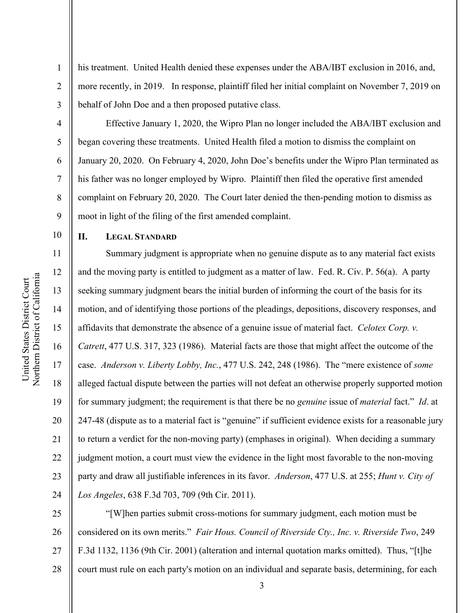1

2

3

4

5

6

7

8

9

10

11

12

13

14

15

16

17

18

19

20

21

22

23

24

his treatment. United Health denied these expenses under the ABA/IBT exclusion in 2016, and, more recently, in 2019. In response, plaintiff filed her initial complaint on November 7, 2019 on behalf of John Doe and a then proposed putative class.

Effective January 1, 2020, the Wipro Plan no longer included the ABA/IBT exclusion and began covering these treatments. United Health filed a motion to dismiss the complaint on January 20, 2020. On February 4, 2020, John Doe's benefits under the Wipro Plan terminated as his father was no longer employed by Wipro. Plaintiff then filed the operative first amended complaint on February 20, 2020. The Court later denied the then-pending motion to dismiss as moot in light of the filing of the first amended complaint.

### **II. LEGAL STANDARD**

Summary judgment is appropriate when no genuine dispute as to any material fact exists and the moving party is entitled to judgment as a matter of law. Fed. R. Civ. P. 56(a). A party seeking summary judgment bears the initial burden of informing the court of the basis for its motion, and of identifying those portions of the pleadings, depositions, discovery responses, and affidavits that demonstrate the absence of a genuine issue of material fact. *Celotex Corp. v. Catrett*, 477 U.S. 317, 323 (1986). Material facts are those that might affect the outcome of the case. *Anderson v. Liberty Lobby, Inc.*, 477 U.S. 242, 248 (1986). The "mere existence of *some* alleged factual dispute between the parties will not defeat an otherwise properly supported motion for summary judgment; the requirement is that there be no *genuine* issue of *material* fact." *Id*. at 247-48 (dispute as to a material fact is "genuine" if sufficient evidence exists for a reasonable jury to return a verdict for the non-moving party) (emphases in original). When deciding a summary judgment motion, a court must view the evidence in the light most favorable to the non-moving party and draw all justifiable inferences in its favor. *Anderson*, 477 U.S. at 255; *Hunt v. City of Los Angeles*, 638 F.3d 703, 709 (9th Cir. 2011).

25 26 27 28 "[W]hen parties submit cross-motions for summary judgment, each motion must be considered on its own merits." *Fair Hous. Council of Riverside Cty., Inc. v. Riverside Two*, 249 F.3d 1132, 1136 (9th Cir. 2001) (alteration and internal quotation marks omitted). Thus, "[t]he court must rule on each party's motion on an individual and separate basis, determining, for each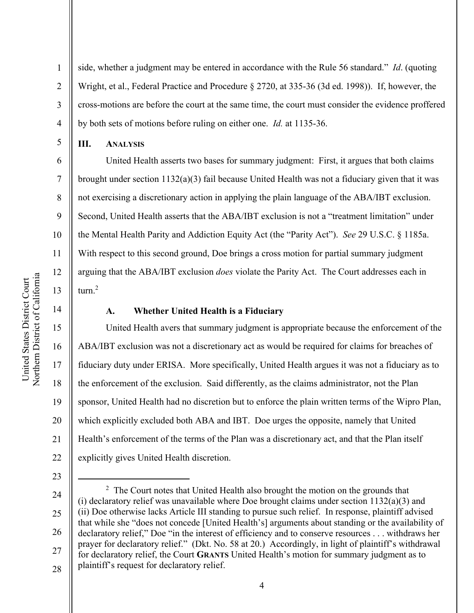side, whether a judgment may be entered in accordance with the Rule 56 standard." *Id*. (quoting Wright, et al., Federal Practice and Procedure § 2720, at 335-36 (3d ed. 1998)). If, however, the cross-motions are before the court at the same time, the court must consider the evidence proffered by both sets of motions before ruling on either one. *Id.* at 1135-36.

**III. ANALYSIS**

1

2

3

4

5

6

7

8

9

10

11

12

13

14

15

16

17

18

19

20

21

United Health asserts two bases for summary judgment: First, it argues that both claims brought under section  $1132(a)(3)$  fail because United Health was not a fiduciary given that it was not exercising a discretionary action in applying the plain language of the ABA/IBT exclusion. Second, United Health asserts that the ABA/IBT exclusion is not a "treatment limitation" under the Mental Health Parity and Addiction Equity Act (the "Parity Act"). *See* 29 U.S.C. § 1185a. With respect to this second ground, Doe brings a cross motion for partial summary judgment arguing that the ABA/IBT exclusion *does* violate the Parity Act. The Court addresses each in turn.<sup>2</sup>

### **A. Whether United Health is a Fiduciary**

United Health avers that summary judgment is appropriate because the enforcement of the ABA/IBT exclusion was not a discretionary act as would be required for claims for breaches of fiduciary duty under ERISA. More specifically, United Health argues it was not a fiduciary as to the enforcement of the exclusion. Said differently, as the claims administrator, not the Plan sponsor, United Health had no discretion but to enforce the plain written terms of the Wipro Plan, which explicitly excluded both ABA and IBT. Doe urges the opposite, namely that United Health's enforcement of the terms of the Plan was a discretionary act, and that the Plan itself explicitly gives United Health discretion.

23

22

24

a

<sup>25</sup>  26 27 28  $2$  The Court notes that United Health also brought the motion on the grounds that (i) declaratory relief was unavailable where Doe brought claims under section 1132(a)(3) and (ii) Doe otherwise lacks Article III standing to pursue such relief. In response, plaintiff advised that while she "does not concede [United Health's] arguments about standing or the availability of declaratory relief," Doe "in the interest of efficiency and to conserve resources . . . withdraws her prayer for declaratory relief." (Dkt. No. 58 at 20.) Accordingly, in light of plaintiff's withdrawal for declaratory relief, the Court **GRANTS** United Health's motion for summary judgment as to plaintiff's request for declaratory relief.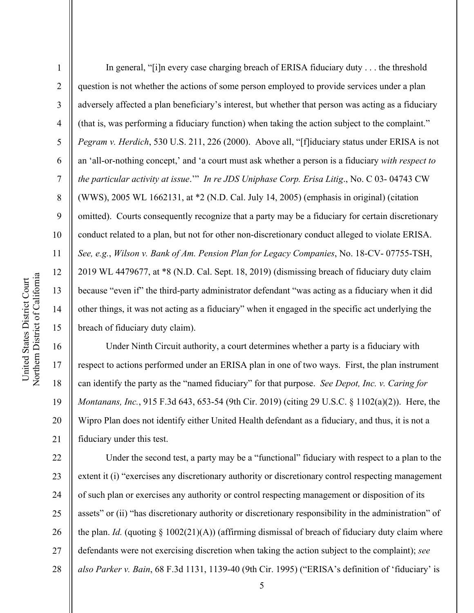2 3 4 5 6 7 8 9 10 11 12 13 14 15 In general, "[i]n every case charging breach of ERISA fiduciary duty . . . the threshold question is not whether the actions of some person employed to provide services under a plan adversely affected a plan beneficiary's interest, but whether that person was acting as a fiduciary (that is, was performing a fiduciary function) when taking the action subject to the complaint." *Pegram v. Herdich*, 530 U.S. 211, 226 (2000). Above all, "[f]iduciary status under ERISA is not an 'all-or-nothing concept,' and 'a court must ask whether a person is a fiduciary *with respect to the particular activity at issue*.'" *In re JDS Uniphase Corp. Erisa Litig*., No. C 03- 04743 CW (WWS), 2005 WL 1662131, at \*2 (N.D. Cal. July 14, 2005) (emphasis in original) (citation omitted). Courts consequently recognize that a party may be a fiduciary for certain discretionary conduct related to a plan, but not for other non-discretionary conduct alleged to violate ERISA. *See, e.g.*, *Wilson v. Bank of Am. Pension Plan for Legacy Companies*, No. 18-CV- 07755-TSH, 2019 WL 4479677, at \*8 (N.D. Cal. Sept. 18, 2019) (dismissing breach of fiduciary duty claim because "even if" the third-party administrator defendant "was acting as a fiduciary when it did other things, it was not acting as a fiduciary" when it engaged in the specific act underlying the breach of fiduciary duty claim).

16 17 18 19 20 21 Under Ninth Circuit authority, a court determines whether a party is a fiduciary with respect to actions performed under an ERISA plan in one of two ways. First, the plan instrument can identify the party as the "named fiduciary" for that purpose. *See Depot, Inc. v. Caring for Montanans, Inc.*, 915 F.3d 643, 653-54 (9th Cir. 2019) (citing 29 U.S.C. § 1102(a)(2)). Here, the Wipro Plan does not identify either United Health defendant as a fiduciary, and thus, it is not a fiduciary under this test.

22 23 24 25 26 27 28 Under the second test, a party may be a "functional" fiduciary with respect to a plan to the extent it (i) "exercises any discretionary authority or discretionary control respecting management of such plan or exercises any authority or control respecting management or disposition of its assets" or (ii) "has discretionary authority or discretionary responsibility in the administration" of the plan. *Id.* (quoting § 1002(21)(A)) (affirming dismissal of breach of fiduciary duty claim where defendants were not exercising discretion when taking the action subject to the complaint); *see also Parker v. Bain*, 68 F.3d 1131, 1139-40 (9th Cir. 1995) ("ERISA's definition of 'fiduciary' is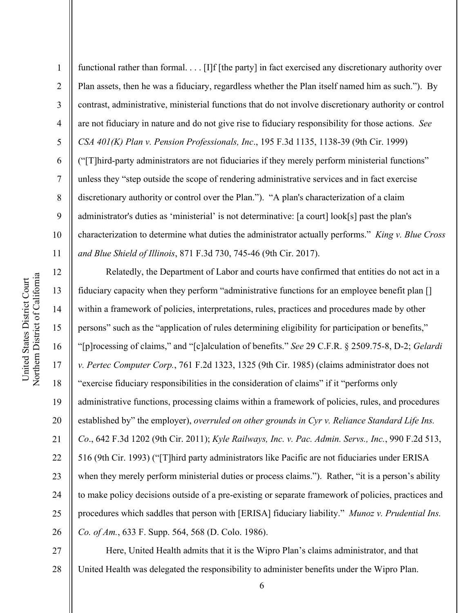14

15

16

17

18

19

20

21

22

23

24

25

26

27

1 2 3 4 5 6 7 8 9 10 11 functional rather than formal. . . . [I]f [the party] in fact exercised any discretionary authority over Plan assets, then he was a fiduciary, regardless whether the Plan itself named him as such."). By contrast, administrative, ministerial functions that do not involve discretionary authority or control are not fiduciary in nature and do not give rise to fiduciary responsibility for those actions. *See CSA 401(K) Plan v. Pension Professionals, Inc*., 195 F.3d 1135, 1138-39 (9th Cir. 1999) ("[T]hird-party administrators are not fiduciaries if they merely perform ministerial functions" unless they "step outside the scope of rendering administrative services and in fact exercise discretionary authority or control over the Plan."). "A plan's characterization of a claim administrator's duties as 'ministerial' is not determinative: [a court] look[s] past the plan's characterization to determine what duties the administrator actually performs." *King v. Blue Cross and Blue Shield of Illinois*, 871 F.3d 730, 745-46 (9th Cir. 2017).

12 Relatedly, the Department of Labor and courts have confirmed that entities do not act in a fiduciary capacity when they perform "administrative functions for an employee benefit plan [] within a framework of policies, interpretations, rules, practices and procedures made by other persons" such as the "application of rules determining eligibility for participation or benefits," "[p]rocessing of claims," and "[c]alculation of benefits." *See* 29 C.F.R. § 2509.75-8, D-2; *Gelardi v. Pertec Computer Corp.*, 761 F.2d 1323, 1325 (9th Cir. 1985) (claims administrator does not "exercise fiduciary responsibilities in the consideration of claims" if it "performs only administrative functions, processing claims within a framework of policies, rules, and procedures established by" the employer), *overruled on other grounds in Cyr v. Reliance Standard Life Ins. Co*., 642 F.3d 1202 (9th Cir. 2011); *Kyle Railways, Inc. v. Pac. Admin. Servs., Inc.*, 990 F.2d 513, 516 (9th Cir. 1993) ("[T]hird party administrators like Pacific are not fiduciaries under ERISA when they merely perform ministerial duties or process claims."). Rather, "it is a person's ability to make policy decisions outside of a pre-existing or separate framework of policies, practices and procedures which saddles that person with [ERISA] fiduciary liability." *Munoz v. Prudential Ins. Co. of Am.*, 633 F. Supp. 564, 568 (D. Colo. 1986).

28 Here, United Health admits that it is the Wipro Plan's claims administrator, and that United Health was delegated the responsibility to administer benefits under the Wipro Plan.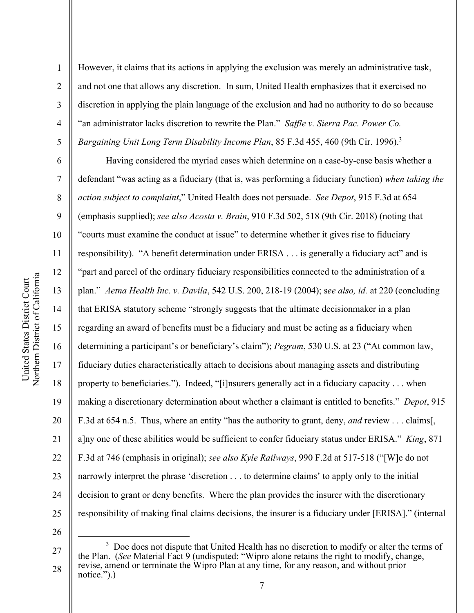2

3

4

5

6

7

8

9

10

11

12

13

14

15

16

17

18

19

20

21

22

23

24

However, it claims that its actions in applying the exclusion was merely an administrative task, and not one that allows any discretion. In sum, United Health emphasizes that it exercised no discretion in applying the plain language of the exclusion and had no authority to do so because "an administrator lacks discretion to rewrite the Plan." *Saffle v. Sierra Pac. Power Co. Bargaining Unit Long Term Disability Income Plan*, 85 F.3d 455, 460 (9th Cir. 1996).3

Having considered the myriad cases which determine on a case-by-case basis whether a defendant "was acting as a fiduciary (that is, was performing a fiduciary function) *when taking the action subject to complaint*," United Health does not persuade. *See Depot*, 915 F.3d at 654 (emphasis supplied); *see also Acosta v. Brain*, 910 F.3d 502, 518 (9th Cir. 2018) (noting that "courts must examine the conduct at issue" to determine whether it gives rise to fiduciary responsibility). "A benefit determination under ERISA . . . is generally a fiduciary act" and is "part and parcel of the ordinary fiduciary responsibilities connected to the administration of a plan." *Aetna Health Inc. v. Davila*, 542 U.S. 200, 218-19 (2004); s*ee also, id.* at 220 (concluding that ERISA statutory scheme "strongly suggests that the ultimate decisionmaker in a plan regarding an award of benefits must be a fiduciary and must be acting as a fiduciary when determining a participant's or beneficiary's claim"); *Pegram*, 530 U.S. at 23 ("At common law, fiduciary duties characteristically attach to decisions about managing assets and distributing property to beneficiaries."). Indeed, "[i]nsurers generally act in a fiduciary capacity . . . when making a discretionary determination about whether a claimant is entitled to benefits." *Depot*, 915 F.3d at 654 n.5. Thus, where an entity "has the authority to grant, deny, *and* review . . . claims[, a]ny one of these abilities would be sufficient to confer fiduciary status under ERISA." *King*, 871 F.3d at 746 (emphasis in original); *see also Kyle Railways*, 990 F.2d at 517-518 ("[W]e do not narrowly interpret the phrase 'discretion . . . to determine claims' to apply only to the initial decision to grant or deny benefits. Where the plan provides the insurer with the discretionary responsibility of making final claims decisions, the insurer is a fiduciary under [ERISA]." (internal

26

<sup>27</sup>  28  $3$  Doe does not dispute that United Health has no discretion to modify or alter the terms of the Plan. (*See* Material Fact 9 (undisputed: "Wipro alone retains the right to modify, change, revise, amend or terminate the Wipro Plan at any time, for any reason, and without prior notice.").)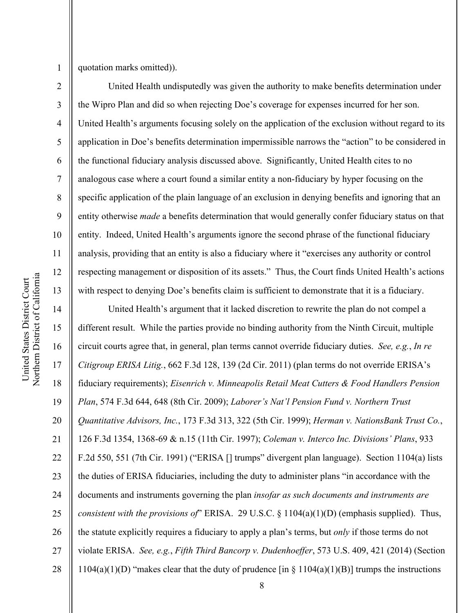3

4

5

6

7

8

9

10

11

12

13

quotation marks omitted)).

 United Health undisputedly was given the authority to make benefits determination under the Wipro Plan and did so when rejecting Doe's coverage for expenses incurred for her son. United Health's arguments focusing solely on the application of the exclusion without regard to its application in Doe's benefits determination impermissible narrows the "action" to be considered in the functional fiduciary analysis discussed above. Significantly, United Health cites to no analogous case where a court found a similar entity a non-fiduciary by hyper focusing on the specific application of the plain language of an exclusion in denying benefits and ignoring that an entity otherwise *made* a benefits determination that would generally confer fiduciary status on that entity. Indeed, United Health's arguments ignore the second phrase of the functional fiduciary analysis, providing that an entity is also a fiduciary where it "exercises any authority or control respecting management or disposition of its assets." Thus, the Court finds United Health's actions with respect to denying Doe's benefits claim is sufficient to demonstrate that it is a fiduciary.

14 15 16 17 18 19 20 21 22 23 24 25 26 27 28 United Health's argument that it lacked discretion to rewrite the plan do not compel a different result. While the parties provide no binding authority from the Ninth Circuit, multiple circuit courts agree that, in general, plan terms cannot override fiduciary duties. *See, e.g.*, *In re Citigroup ERISA Litig.*, 662 F.3d 128, 139 (2d Cir. 2011) (plan terms do not override ERISA's fiduciary requirements); *Eisenrich v. Minneapolis Retail Meat Cutters & Food Handlers Pension Plan*, 574 F.3d 644, 648 (8th Cir. 2009); *Laborer's Nat'l Pension Fund v. Northern Trust Quantitative Advisors, Inc.*, 173 F.3d 313, 322 (5th Cir. 1999); *Herman v. NationsBank Trust Co.*, 126 F.3d 1354, 1368-69 & n.15 (11th Cir. 1997); *Coleman v. Interco Inc. Divisions' Plans*, 933 F.2d 550, 551 (7th Cir. 1991) ("ERISA [] trumps" divergent plan language). Section 1104(a) lists the duties of ERISA fiduciaries, including the duty to administer plans "in accordance with the documents and instruments governing the plan *insofar as such documents and instruments are consistent with the provisions of*" ERISA. 29 U.S.C. § 1104(a)(1)(D) (emphasis supplied). Thus, the statute explicitly requires a fiduciary to apply a plan's terms, but *only* if those terms do not violate ERISA. *See, e.g.*, *Fifth Third Bancorp v. Dudenhoeffer*, 573 U.S. 409, 421 (2014) (Section 1104(a)(1)(D) "makes clear that the duty of prudence  $\left[ \text{in } \S 1104(a)(1)(B) \right]$  trumps the instructions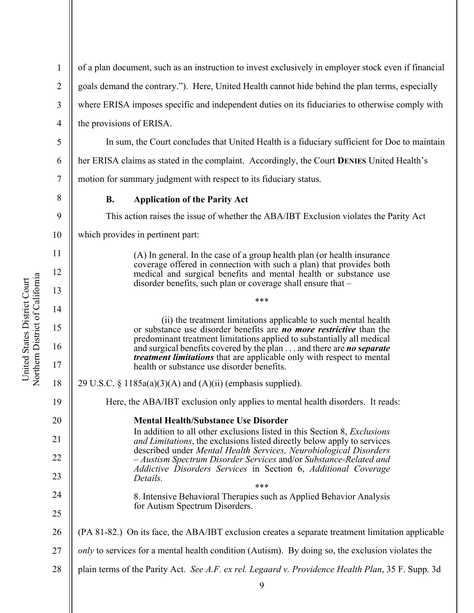7

8

9

11

12

13

14

15

16

17

18

19

20

21

22

23

24

25

1 2 3 4 5 6 of a plan document, such as an instruction to invest exclusively in employer stock even if financial goals demand the contrary."). Here, United Health cannot hide behind the plan terms, especially where ERISA imposes specific and independent duties on its fiduciaries to otherwise comply with the provisions of ERISA. In sum, the Court concludes that United Health is a fiduciary sufficient for Doe to maintain her ERISA claims as stated in the complaint. Accordingly, the Court **DENIES** United Health's

motion for summary judgment with respect to its fiduciary status.

**B. Application of the Parity Act** 

This action raises the issue of whether the ABA/IBT Exclusion violates the Parity Act

10 which provides in pertinent part:

> (A) In general. In the case of a group health plan (or health insurance coverage offered in connection with such a plan) that provides both medical and surgical benefits and mental health or substance use disorder benefits, such plan or coverage shall ensure that –

 (ii) the treatment limitations applicable to such mental health or substance use disorder benefits are *no more restrictive* than the predominant treatment limitations applied to substantially all medical and surgical benefits covered by the plan . . . and there are *no separate treatment limitations* that are applicable only with respect to mental health or substance use disorder benefits.

\*\*\*

29 U.S.C.  $\S$  1185a(a)(3)(A) and (A)(ii) (emphasis supplied).

Here, the ABA/IBT exclusion only applies to mental health disorders. It reads:

# **Mental Health/Substance Use Disorder**

In addition to all other exclusions listed in this Section 8, *Exclusions and Limitations*, the exclusions listed directly below apply to services described under *Mental Health Services, Neurobiological Disorders – Austism Spectrum Disorder Services* and/or *Substance-Related and Addictive Disorders Services* in Section 6, *Additional Coverage Details.* 

\*\*\* 8. Intensive Behavioral Therapies such as Applied Behavior Analysis for Autism Spectrum Disorders.

#### 26 (PA 81-82.) On its face, the ABA/IBT exclusion creates a separate treatment limitation applicable

- 27 *only* to services for a mental health condition (Autism). By doing so, the exclusion violates the
- 28 plain terms of the Parity Act. *See A.F. ex rel. Legaard v. Providence Health Plan*, 35 F. Supp. 3d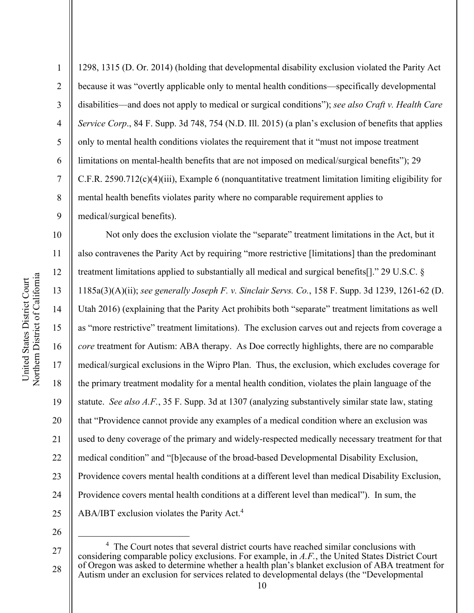1 2 3 4 5 6 7 8 9 1298, 1315 (D. Or. 2014) (holding that developmental disability exclusion violated the Parity Act because it was "overtly applicable only to mental health conditions—specifically developmental disabilities—and does not apply to medical or surgical conditions"); *see also Craft v. Health Care Service Corp*., 84 F. Supp. 3d 748, 754 (N.D. Ill. 2015) (a plan's exclusion of benefits that applies only to mental health conditions violates the requirement that it "must not impose treatment limitations on mental-health benefits that are not imposed on medical/surgical benefits"); 29 C.F.R. 2590.712(c)(4)(iii), Example 6 (nonquantitative treatment limitation limiting eligibility for mental health benefits violates parity where no comparable requirement applies to medical/surgical benefits).

10 11 12 13 14 15 16 17 18 19 20 21 22 23 24 25 Not only does the exclusion violate the "separate" treatment limitations in the Act, but it also contravenes the Parity Act by requiring "more restrictive [limitations] than the predominant treatment limitations applied to substantially all medical and surgical benefits[]." 29 U.S.C. § 1185a(3)(A)(ii); *see generally Joseph F. v. Sinclair Servs. Co.*, 158 F. Supp. 3d 1239, 1261-62 (D. Utah 2016) (explaining that the Parity Act prohibits both "separate" treatment limitations as well as "more restrictive" treatment limitations). The exclusion carves out and rejects from coverage a *core* treatment for Autism: ABA therapy. As Doe correctly highlights, there are no comparable medical/surgical exclusions in the Wipro Plan. Thus, the exclusion, which excludes coverage for the primary treatment modality for a mental health condition, violates the plain language of the statute. *See also A.F.*, 35 F. Supp. 3d at 1307 (analyzing substantively similar state law, stating that "Providence cannot provide any examples of a medical condition where an exclusion was used to deny coverage of the primary and widely-respected medically necessary treatment for that medical condition" and "[b]ecause of the broad-based Developmental Disability Exclusion, Providence covers mental health conditions at a different level than medical Disability Exclusion, Providence covers mental health conditions at a different level than medical"). In sum, the ABA/IBT exclusion violates the Parity Act.<sup>4</sup>

<sup>27</sup>  28 <sup>4</sup> The Court notes that several district courts have reached similar conclusions with considering comparable policy exclusions. For example, in *A.F.*, the United States District Court of Oregon was asked to determine whether a health plan's blanket exclusion of ABA treatment for Autism under an exclusion for services related to developmental delays (the "Developmental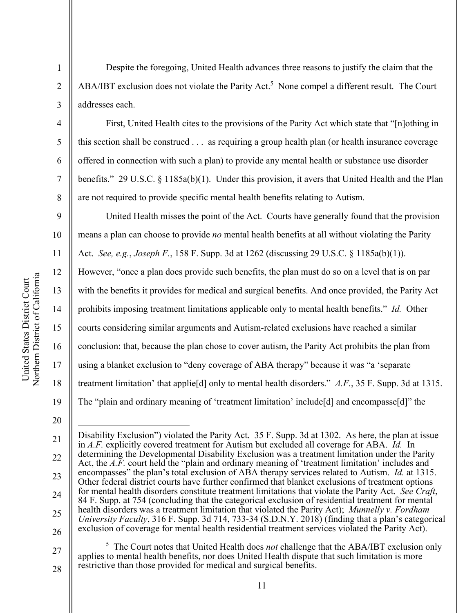a

1

2

3

4

5

6

7

8

9

10

11

12

13

14

15

16

17

18

19

Despite the foregoing, United Health advances three reasons to justify the claim that the  $ABA/IBT$  exclusion does not violate the Parity Act.<sup>5</sup> None compel a different result. The Court addresses each.

First, United Health cites to the provisions of the Parity Act which state that "[n]othing in this section shall be construed . . . as requiring a group health plan (or health insurance coverage offered in connection with such a plan) to provide any mental health or substance use disorder benefits." 29 U.S.C. § 1185a(b)(1). Under this provision, it avers that United Health and the Plan are not required to provide specific mental health benefits relating to Autism.

United Health misses the point of the Act. Courts have generally found that the provision means a plan can choose to provide *no* mental health benefits at all without violating the Parity Act. *See, e.g.*, *Joseph F.*, 158 F. Supp. 3d at 1262 (discussing 29 U.S.C. § 1185a(b)(1)).

However, "once a plan does provide such benefits, the plan must do so on a level that is on par with the benefits it provides for medical and surgical benefits. And once provided, the Parity Act prohibits imposing treatment limitations applicable only to mental health benefits." *Id.* Other courts considering similar arguments and Autism-related exclusions have reached a similar conclusion: that, because the plan chose to cover autism, the Parity Act prohibits the plan from using a blanket exclusion to "deny coverage of ABA therapy" because it was "a 'separate treatment limitation' that applie[d] only to mental health disorders." *A.F.*, 35 F. Supp. 3d at 1315. The "plain and ordinary meaning of 'treatment limitation' include[d] and encompasse[d]" the

<sup>21</sup>  22 23 24 25 26 Disability Exclusion") violated the Parity Act. 35 F. Supp. 3d at 1302. As here, the plan at issue in *A.F.* explicitly covered treatment for Autism but excluded all coverage for ABA. *Id.* In determining the Developmental Disability Exclusion was a treatment limitation under the Parity Act, the *A.F.* court held the "plain and ordinary meaning of 'treatment limitation' includes and encompasses" the plan's total exclusion of ABA therapy services related to Autism. *Id.* at 1315. Other federal district courts have further confirmed that blanket exclusions of treatment options<br>for mental health disorders constitute treatment limitations that violate the Parity Act. See Craft, for mental health disorders constitute treatment limitations that violate the Parity Act. *See Craft*, 84 F. Supp. at 754 (concluding that the categorical exclusion of residential treatment for mental health disorders was a treatment limitation that violated the Parity Act); *Munnelly v. Fordham University Faculty*, 316 F. Supp. 3d 714, 733-34 (S.D.N.Y. 2018) (finding that a plan's categorical exclusion of coverage for mental health residential treatment services violated the Parity Act).

<sup>27</sup>  28 5 The Court notes that United Health does *not* challenge that the ABA/IBT exclusion only applies to mental health benefits, nor does United Health dispute that such limitation is more restrictive than those provided for medical and surgical benefits.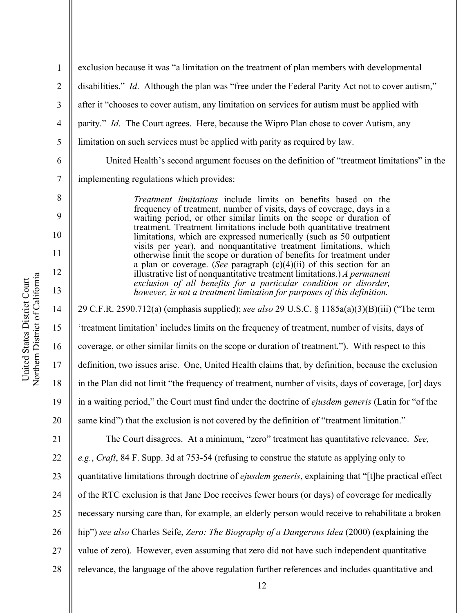1 2 3 4 5 exclusion because it was "a limitation on the treatment of plan members with developmental disabilities." *Id*. Although the plan was "free under the Federal Parity Act not to cover autism," after it "chooses to cover autism, any limitation on services for autism must be applied with parity." *Id*. The Court agrees. Here, because the Wipro Plan chose to cover Autism, any

limitation on such services must be applied with parity as required by law.

United Health's second argument focuses on the definition of "treatment limitations" in the implementing regulations which provides:

> *Treatment limitations* include limits on benefits based on the frequency of treatment, number of visits, days of coverage, days in a waiting period, or other similar limits on the scope or duration of treatment. Treatment limitations include both quantitative treatment limitations, which are expressed numerically (such as 50 outpatient visits per year), and nonquantitative treatment limitations, which otherwise limit the scope or duration of benefits for treatment under a plan or coverage. (*See* paragraph (c)(4)(ii) of this section for an illustrative list of nonquantitative treatment limitations.) *A permanent exclusion of all benefits for a particular condition or disorder, however, is not a treatment limitation for purposes of this definition.*

29 C.F.R. 2590.712(a) (emphasis supplied); *see also* 29 U.S.C. § 1185a(a)(3)(B)(iii) ("The term 'treatment limitation' includes limits on the frequency of treatment, number of visits, days of coverage, or other similar limits on the scope or duration of treatment."). With respect to this definition, two issues arise. One, United Health claims that, by definition, because the exclusion in the Plan did not limit "the frequency of treatment, number of visits, days of coverage, [or] days in a waiting period," the Court must find under the doctrine of *ejusdem generis* (Latin for "of the same kind") that the exclusion is not covered by the definition of "treatment limitation."

21 22 23 24 25 26 27 28 The Court disagrees. At a minimum, "zero" treatment has quantitative relevance. *See, e.g.*, *Craft*, 84 F. Supp. 3d at 753-54 (refusing to construe the statute as applying only to quantitative limitations through doctrine of *ejusdem generis*, explaining that "[t]he practical effect of the RTC exclusion is that Jane Doe receives fewer hours (or days) of coverage for medically necessary nursing care than, for example, an elderly person would receive to rehabilitate a broken hip") *see also* Charles Seife, *Zero: The Biography of a Dangerous Idea* (2000) (explaining the value of zero). However, even assuming that zero did not have such independent quantitative relevance, the language of the above regulation further references and includes quantitative and

6

7

8

9

10

11

12

13

14

15

16

17

18

19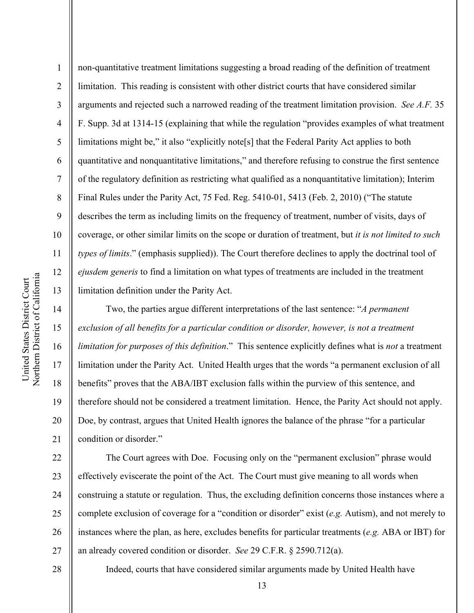15

16

17

18

19

20

21

1 2 3 4 5 6 7 8 9 10 11 12 13 non-quantitative treatment limitations suggesting a broad reading of the definition of treatment limitation. This reading is consistent with other district courts that have considered similar arguments and rejected such a narrowed reading of the treatment limitation provision. *See A.F.* 35 F. Supp. 3d at 1314-15 (explaining that while the regulation "provides examples of what treatment limitations might be," it also "explicitly note<sup>[s]</sup> that the Federal Parity Act applies to both quantitative and nonquantitative limitations," and therefore refusing to construe the first sentence of the regulatory definition as restricting what qualified as a nonquantitative limitation); Interim Final Rules under the Parity Act, 75 Fed. Reg. 5410-01, 5413 (Feb. 2, 2010) ("The statute describes the term as including limits on the frequency of treatment, number of visits, days of coverage, or other similar limits on the scope or duration of treatment, but *it is not limited to such types of limits*." (emphasis supplied)). The Court therefore declines to apply the doctrinal tool of *ejusdem generis* to find a limitation on what types of treatments are included in the treatment limitation definition under the Parity Act.

 Two, the parties argue different interpretations of the last sentence: "*A permanent exclusion of all benefits for a particular condition or disorder, however, is not a treatment limitation for purposes of this definition*." This sentence explicitly defines what is *not* a treatment limitation under the Parity Act. United Health urges that the words "a permanent exclusion of all benefits" proves that the ABA/IBT exclusion falls within the purview of this sentence, and therefore should not be considered a treatment limitation. Hence, the Parity Act should not apply. Doe, by contrast, argues that United Health ignores the balance of the phrase "for a particular condition or disorder."

22 23 24 25 26 27 The Court agrees with Doe. Focusing only on the "permanent exclusion" phrase would effectively eviscerate the point of the Act. The Court must give meaning to all words when construing a statute or regulation. Thus, the excluding definition concerns those instances where a complete exclusion of coverage for a "condition or disorder" exist (*e.g.* Autism), and not merely to instances where the plan, as here, excludes benefits for particular treatments (*e.g.* ABA or IBT) for an already covered condition or disorder. *See* 29 C.F.R. § 2590.712(a).

28

Indeed, courts that have considered similar arguments made by United Health have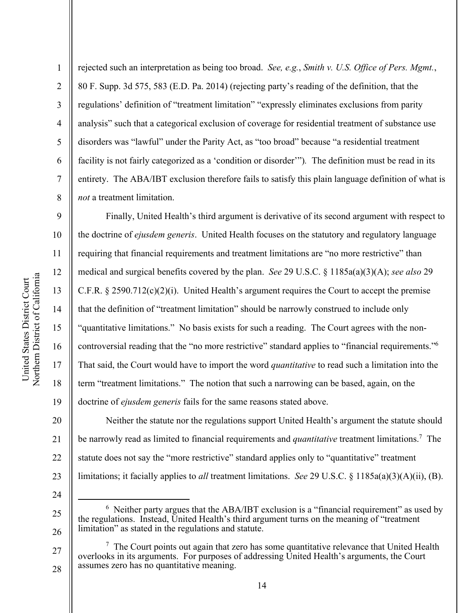1

2

3

4

5

6

7

8

9

10

11

12

13

14

15

16

17

18

19

20

21

22

23

rejected such an interpretation as being too broad. *See, e.g.*, *Smith v. U.S. Office of Pers. Mgmt.*, 80 F. Supp. 3d 575, 583 (E.D. Pa. 2014) (rejecting party's reading of the definition, that the regulations' definition of "treatment limitation" "expressly eliminates exclusions from parity analysis" such that a categorical exclusion of coverage for residential treatment of substance use disorders was "lawful" under the Parity Act, as "too broad" because "a residential treatment facility is not fairly categorized as a 'condition or disorder'")*.* The definition must be read in its entirety. The ABA/IBT exclusion therefore fails to satisfy this plain language definition of what is *not* a treatment limitation.

Finally, United Health's third argument is derivative of its second argument with respect to the doctrine of *ejusdem generis*. United Health focuses on the statutory and regulatory language requiring that financial requirements and treatment limitations are "no more restrictive" than medical and surgical benefits covered by the plan. *See* 29 U.S.C. § 1185a(a)(3)(A); *see also* 29 C.F.R.  $\S 2590.712(c)(2)(i)$ . United Health's argument requires the Court to accept the premise that the definition of "treatment limitation" should be narrowly construed to include only "quantitative limitations." No basis exists for such a reading. The Court agrees with the noncontroversial reading that the "no more restrictive" standard applies to "financial requirements."6 That said, the Court would have to import the word *quantitative* to read such a limitation into the term "treatment limitations." The notion that such a narrowing can be based, again, on the doctrine of *ejusdem generis* fails for the same reasons stated above.

Neither the statute nor the regulations support United Health's argument the statute should be narrowly read as limited to financial requirements and *quantitative* treatment limitations.<sup>7</sup> The statute does not say the "more restrictive" standard applies only to "quantitative" treatment limitations; it facially applies to *all* treatment limitations. *See* 29 U.S.C. § 1185a(a)(3)(A)(ii), (B).

24

25

<sup>&</sup>lt;sup>6</sup> Neither party argues that the ABA/IBT exclusion is a "financial requirement" as used by the regulations. Instead, United Health's third argument turns on the meaning of "treatment limitation" as stated in the regulations and statute.

<sup>27</sup>  28  $7$  The Court points out again that zero has some quantitative relevance that United Health overlooks in its arguments. For purposes of addressing United Health's arguments, the Court assumes zero has no quantitative meaning.